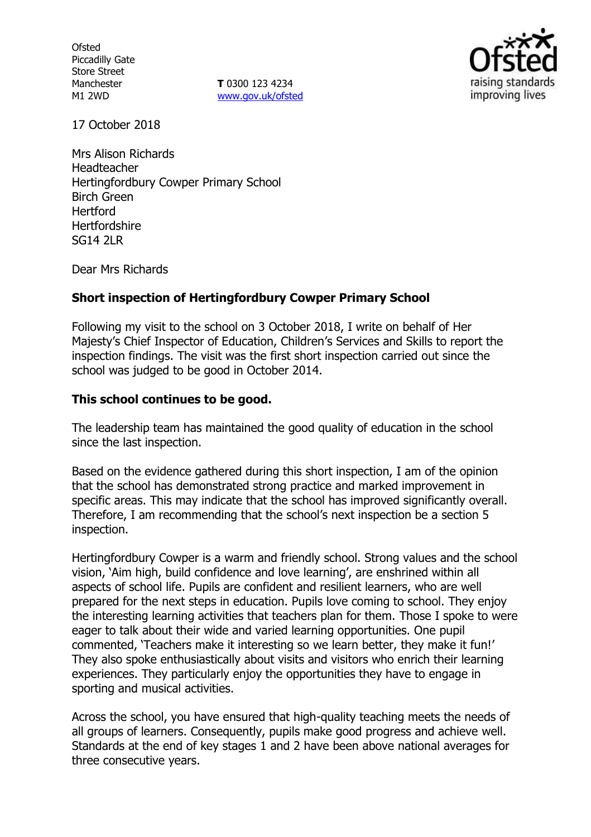**Ofsted** Piccadilly Gate Store Street Manchester M1 2WD

**T** 0300 123 4234 www.gov.uk/ofsted



17 October 2018

Mrs Alison Richards Headteacher Hertingfordbury Cowper Primary School Birch Green Hertford **Hertfordshire** SG14 2LR

Dear Mrs Richards

## **Short inspection of Hertingfordbury Cowper Primary School**

Following my visit to the school on 3 October 2018, I write on behalf of Her Majesty's Chief Inspector of Education, Children's Services and Skills to report the inspection findings. The visit was the first short inspection carried out since the school was judged to be good in October 2014.

## **This school continues to be good.**

The leadership team has maintained the good quality of education in the school since the last inspection.

Based on the evidence gathered during this short inspection, I am of the opinion that the school has demonstrated strong practice and marked improvement in specific areas. This may indicate that the school has improved significantly overall. Therefore, I am recommending that the school's next inspection be a section 5 inspection.

Hertingfordbury Cowper is a warm and friendly school. Strong values and the school vision, 'Aim high, build confidence and love learning', are enshrined within all aspects of school life. Pupils are confident and resilient learners, who are well prepared for the next steps in education. Pupils love coming to school. They enjoy the interesting learning activities that teachers plan for them. Those I spoke to were eager to talk about their wide and varied learning opportunities. One pupil commented, 'Teachers make it interesting so we learn better, they make it fun!' They also spoke enthusiastically about visits and visitors who enrich their learning experiences. They particularly enjoy the opportunities they have to engage in sporting and musical activities.

Across the school, you have ensured that high-quality teaching meets the needs of all groups of learners. Consequently, pupils make good progress and achieve well. Standards at the end of key stages 1 and 2 have been above national averages for three consecutive years.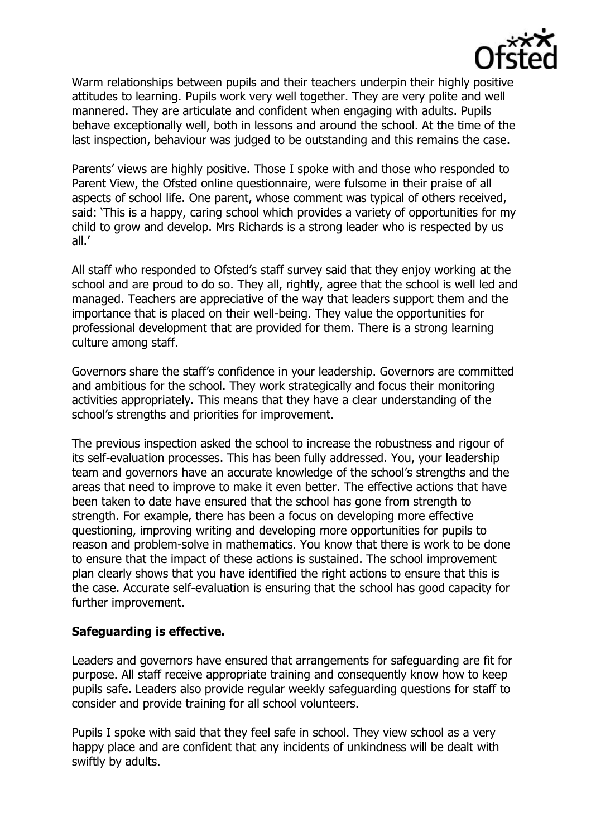

Warm relationships between pupils and their teachers underpin their highly positive attitudes to learning. Pupils work very well together. They are very polite and well mannered. They are articulate and confident when engaging with adults. Pupils behave exceptionally well, both in lessons and around the school. At the time of the last inspection, behaviour was judged to be outstanding and this remains the case.

Parents' views are highly positive. Those I spoke with and those who responded to Parent View, the Ofsted online questionnaire, were fulsome in their praise of all aspects of school life. One parent, whose comment was typical of others received, said: 'This is a happy, caring school which provides a variety of opportunities for my child to grow and develop. Mrs Richards is a strong leader who is respected by us all.'

All staff who responded to Ofsted's staff survey said that they enjoy working at the school and are proud to do so. They all, rightly, agree that the school is well led and managed. Teachers are appreciative of the way that leaders support them and the importance that is placed on their well-being. They value the opportunities for professional development that are provided for them. There is a strong learning culture among staff.

Governors share the staff's confidence in your leadership. Governors are committed and ambitious for the school. They work strategically and focus their monitoring activities appropriately. This means that they have a clear understanding of the school's strengths and priorities for improvement.

The previous inspection asked the school to increase the robustness and rigour of its self-evaluation processes. This has been fully addressed. You, your leadership team and governors have an accurate knowledge of the school's strengths and the areas that need to improve to make it even better. The effective actions that have been taken to date have ensured that the school has gone from strength to strength. For example, there has been a focus on developing more effective questioning, improving writing and developing more opportunities for pupils to reason and problem-solve in mathematics. You know that there is work to be done to ensure that the impact of these actions is sustained. The school improvement plan clearly shows that you have identified the right actions to ensure that this is the case. Accurate self-evaluation is ensuring that the school has good capacity for further improvement.

### **Safeguarding is effective.**

Leaders and governors have ensured that arrangements for safeguarding are fit for purpose. All staff receive appropriate training and consequently know how to keep pupils safe. Leaders also provide regular weekly safeguarding questions for staff to consider and provide training for all school volunteers.

Pupils I spoke with said that they feel safe in school. They view school as a very happy place and are confident that any incidents of unkindness will be dealt with swiftly by adults.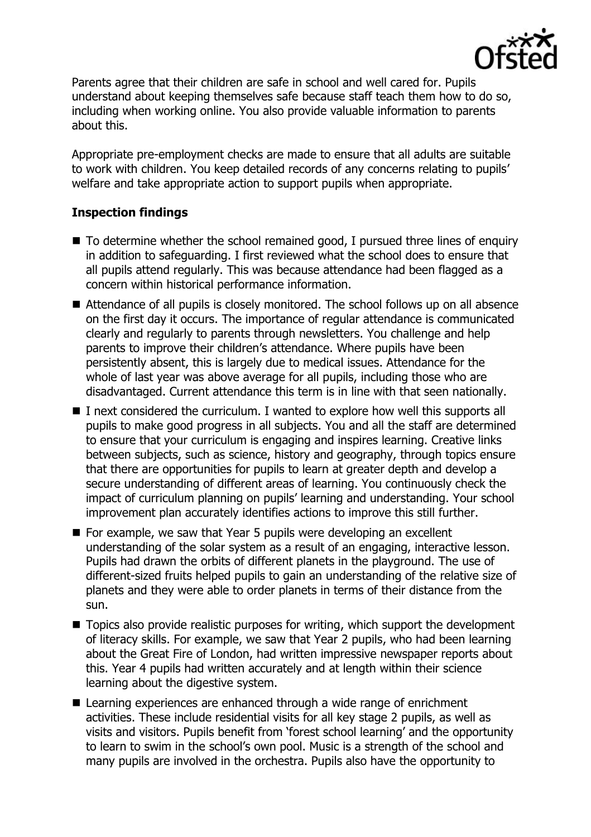

Parents agree that their children are safe in school and well cared for. Pupils understand about keeping themselves safe because staff teach them how to do so, including when working online. You also provide valuable information to parents about this.

Appropriate pre-employment checks are made to ensure that all adults are suitable to work with children. You keep detailed records of any concerns relating to pupils' welfare and take appropriate action to support pupils when appropriate.

# **Inspection findings**

- To determine whether the school remained good, I pursued three lines of enquiry in addition to safeguarding. I first reviewed what the school does to ensure that all pupils attend regularly. This was because attendance had been flagged as a concern within historical performance information.
- Attendance of all pupils is closely monitored. The school follows up on all absence on the first day it occurs. The importance of regular attendance is communicated clearly and regularly to parents through newsletters. You challenge and help parents to improve their children's attendance. Where pupils have been persistently absent, this is largely due to medical issues. Attendance for the whole of last year was above average for all pupils, including those who are disadvantaged. Current attendance this term is in line with that seen nationally.
- $\blacksquare$  I next considered the curriculum. I wanted to explore how well this supports all pupils to make good progress in all subjects. You and all the staff are determined to ensure that your curriculum is engaging and inspires learning. Creative links between subjects, such as science, history and geography, through topics ensure that there are opportunities for pupils to learn at greater depth and develop a secure understanding of different areas of learning. You continuously check the impact of curriculum planning on pupils' learning and understanding. Your school improvement plan accurately identifies actions to improve this still further.
- For example, we saw that Year 5 pupils were developing an excellent understanding of the solar system as a result of an engaging, interactive lesson. Pupils had drawn the orbits of different planets in the playground. The use of different-sized fruits helped pupils to gain an understanding of the relative size of planets and they were able to order planets in terms of their distance from the sun.
- Topics also provide realistic purposes for writing, which support the development of literacy skills. For example, we saw that Year 2 pupils, who had been learning about the Great Fire of London, had written impressive newspaper reports about this. Year 4 pupils had written accurately and at length within their science learning about the digestive system.
- Learning experiences are enhanced through a wide range of enrichment activities. These include residential visits for all key stage 2 pupils, as well as visits and visitors. Pupils benefit from 'forest school learning' and the opportunity to learn to swim in the school's own pool. Music is a strength of the school and many pupils are involved in the orchestra. Pupils also have the opportunity to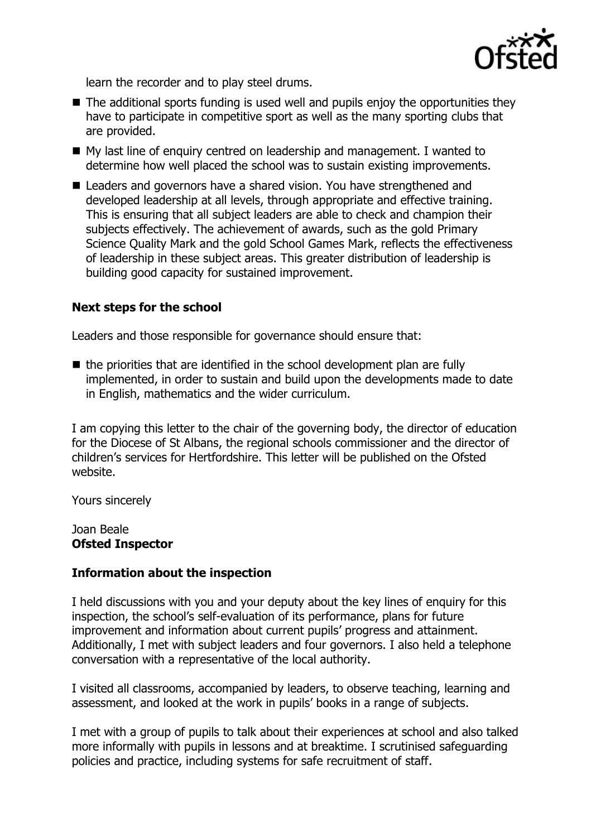

learn the recorder and to play steel drums.

- $\blacksquare$  The additional sports funding is used well and pupils enjoy the opportunities they have to participate in competitive sport as well as the many sporting clubs that are provided.
- My last line of enquiry centred on leadership and management. I wanted to determine how well placed the school was to sustain existing improvements.
- Leaders and governors have a shared vision. You have strengthened and developed leadership at all levels, through appropriate and effective training. This is ensuring that all subject leaders are able to check and champion their subjects effectively. The achievement of awards, such as the gold Primary Science Quality Mark and the gold School Games Mark, reflects the effectiveness of leadership in these subject areas. This greater distribution of leadership is building good capacity for sustained improvement.

### **Next steps for the school**

Leaders and those responsible for governance should ensure that:

 $\blacksquare$  the priorities that are identified in the school development plan are fully implemented, in order to sustain and build upon the developments made to date in English, mathematics and the wider curriculum.

I am copying this letter to the chair of the governing body, the director of education for the Diocese of St Albans, the regional schools commissioner and the director of children's services for Hertfordshire. This letter will be published on the Ofsted website.

Yours sincerely

Joan Beale **Ofsted Inspector**

### **Information about the inspection**

I held discussions with you and your deputy about the key lines of enquiry for this inspection, the school's self-evaluation of its performance, plans for future improvement and information about current pupils' progress and attainment. Additionally, I met with subject leaders and four governors. I also held a telephone conversation with a representative of the local authority.

I visited all classrooms, accompanied by leaders, to observe teaching, learning and assessment, and looked at the work in pupils' books in a range of subjects.

I met with a group of pupils to talk about their experiences at school and also talked more informally with pupils in lessons and at breaktime. I scrutinised safeguarding policies and practice, including systems for safe recruitment of staff.